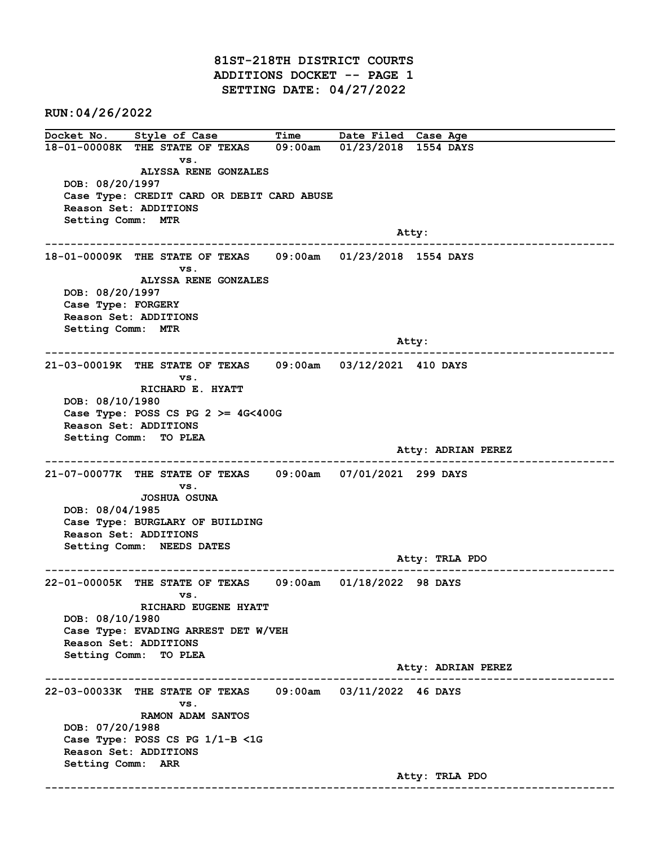81ST-218TH DISTRICT COURTS ADDITIONS DOCKET -- PAGE 1 SETTING DATE: 04/27/2022

RUN:04/26/2022

Docket No. Style of Case Time Date Filed Case Age 18-01-00008K THE STATE OF TEXAS 09:00am 01/23/2018 1554 DAYS vs. ALYSSA RENE GONZALES DOB: 08/20/1997 Case Type: CREDIT CARD OR DEBIT CARD ABUSE Reason Set: ADDITIONS Setting Comm: MTR example of the contract of the contract of the contract of the contract of the contract of the contract of the contract of the contract of the contract of the contract of the contract of the contract of the contract of the ------------------------------------------------------------------------------------------------------------------------ 18-01-00009K THE STATE OF TEXAS 09:00am 01/23/2018 1554 DAYS vs. ALYSSA RENE GONZALES DOB: 08/20/1997 Case Type: FORGERY Reason Set: ADDITIONS Setting Comm: MTR and the state of the state of the state of the state of the state of the state of the state of the state of the state of the state of the state of the state of the state of the state of the state of the state of the state ------------------------------------------------------------------------------------------------------------------------ 21-03-00019K THE STATE OF TEXAS 09:00am 03/12/2021 410 DAYS vs. RICHARD E. HYATT DOB: 08/10/1980 Case Type: POSS CS PG  $2 \ge 4$ G<400G Reason Set: ADDITIONS Setting Comm: TO PLEA Atty: ADRIAN PEREZ ------------------------------------------------------------------------------------------------------------------------ 21-07-00077K THE STATE OF TEXAS 09:00am 07/01/2021 299 DAYS vs. JOSHUA OSUNA DOB: 08/04/1985 Case Type: BURGLARY OF BUILDING Reason Set: ADDITIONS Setting Comm: NEEDS DATES Atty: TRLA PDO ------------------------------------------------------------------------------------------------------------------------ 22-01-00005K THE STATE OF TEXAS 09:00am 01/18/2022 98 DAYS vs. RICHARD EUGENE HYATT DOB: 08/10/1980 Case Type: EVADING ARREST DET W/VEH Reason Set: ADDITIONS Setting Comm: TO PLEA Atty: ADRIAN PEREZ ------------------------------------------------------------------------------------------------------------------------ 22-03-00033K THE STATE OF TEXAS 09:00am 03/11/2022 46 DAYS vs. RAMON ADAM SANTOS DOB: 07/20/1988 Case Type: POSS CS PG 1/1-B <1G Reason Set: ADDITIONS Setting Comm: ARR Atty: TRLA PDO ------------------------------------------------------------------------------------------------------------------------